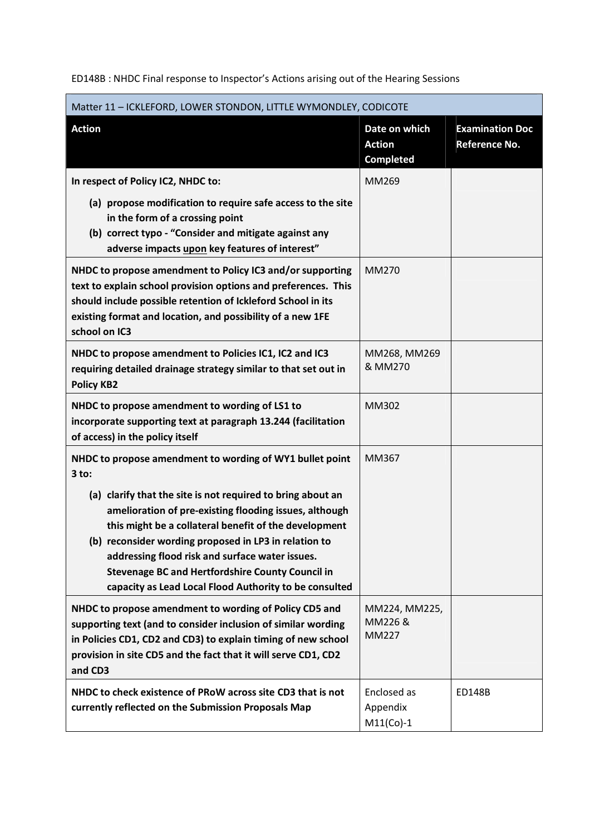ED148B : NHDC Final response to Inspector's Actions arising out of the Hearing Sessions

| Matter 11 - ICKLEFORD, LOWER STONDON, LITTLE WYMONDLEY, CODICOTE                                                                                                                                                                                                                                               |                                                    |                                                |  |
|----------------------------------------------------------------------------------------------------------------------------------------------------------------------------------------------------------------------------------------------------------------------------------------------------------------|----------------------------------------------------|------------------------------------------------|--|
| <b>Action</b>                                                                                                                                                                                                                                                                                                  | Date on which<br><b>Action</b><br><b>Completed</b> | <b>Examination Doc</b><br><b>Reference No.</b> |  |
| In respect of Policy IC2, NHDC to:                                                                                                                                                                                                                                                                             | MM269                                              |                                                |  |
| (a) propose modification to require safe access to the site<br>in the form of a crossing point<br>(b) correct typo - "Consider and mitigate against any<br>adverse impacts upon key features of interest"                                                                                                      |                                                    |                                                |  |
| NHDC to propose amendment to Policy IC3 and/or supporting<br>text to explain school provision options and preferences. This<br>should include possible retention of Ickleford School in its<br>existing format and location, and possibility of a new 1FE<br>school on IC3                                     | MM270                                              |                                                |  |
| NHDC to propose amendment to Policies IC1, IC2 and IC3<br>requiring detailed drainage strategy similar to that set out in<br><b>Policy KB2</b>                                                                                                                                                                 | MM268, MM269<br>& MM270                            |                                                |  |
| NHDC to propose amendment to wording of LS1 to<br>incorporate supporting text at paragraph 13.244 (facilitation<br>of access) in the policy itself                                                                                                                                                             | MM302                                              |                                                |  |
| NHDC to propose amendment to wording of WY1 bullet point<br>$3$ to:<br>(a) clarify that the site is not required to bring about an<br>amelioration of pre-existing flooding issues, although<br>this might be a collateral benefit of the development<br>(b) reconsider wording proposed in LP3 in relation to | MM367                                              |                                                |  |
| addressing flood risk and surface water issues.<br><b>Stevenage BC and Hertfordshire County Council in</b><br>capacity as Lead Local Flood Authority to be consulted                                                                                                                                           |                                                    |                                                |  |
| NHDC to propose amendment to wording of Policy CD5 and<br>supporting text (and to consider inclusion of similar wording<br>in Policies CD1, CD2 and CD3) to explain timing of new school<br>provision in site CD5 and the fact that it will serve CD1, CD2<br>and CD3                                          | MM224, MM225,<br>MM226 &<br><b>MM227</b>           |                                                |  |
| NHDC to check existence of PRoW across site CD3 that is not<br>currently reflected on the Submission Proposals Map                                                                                                                                                                                             | Enclosed as<br>Appendix<br>$M11(Co)-1$             | <b>ED148B</b>                                  |  |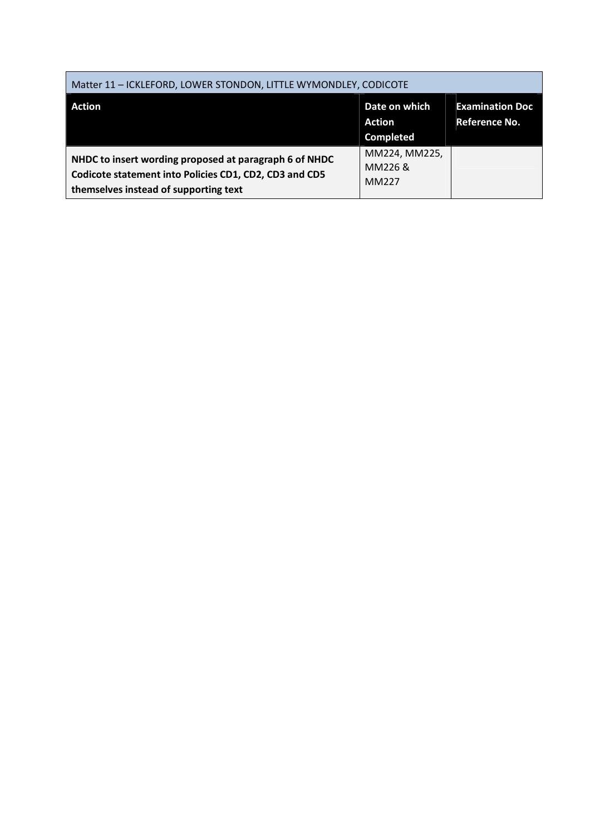| Matter 11 - ICKLEFORD, LOWER STONDON, LITTLE WYMONDLEY, CODICOTE                                                                                          |                                   |                                                |  |
|-----------------------------------------------------------------------------------------------------------------------------------------------------------|-----------------------------------|------------------------------------------------|--|
| <b>Action</b>                                                                                                                                             | Date on which<br>Action           | <b>Examination Doc</b><br><b>Reference No.</b> |  |
|                                                                                                                                                           | <b>Completed</b>                  |                                                |  |
| NHDC to insert wording proposed at paragraph 6 of NHDC<br>Codicote statement into Policies CD1, CD2, CD3 and CD5<br>themselves instead of supporting text | MM224, MM225,<br>MM226 &<br>MM227 |                                                |  |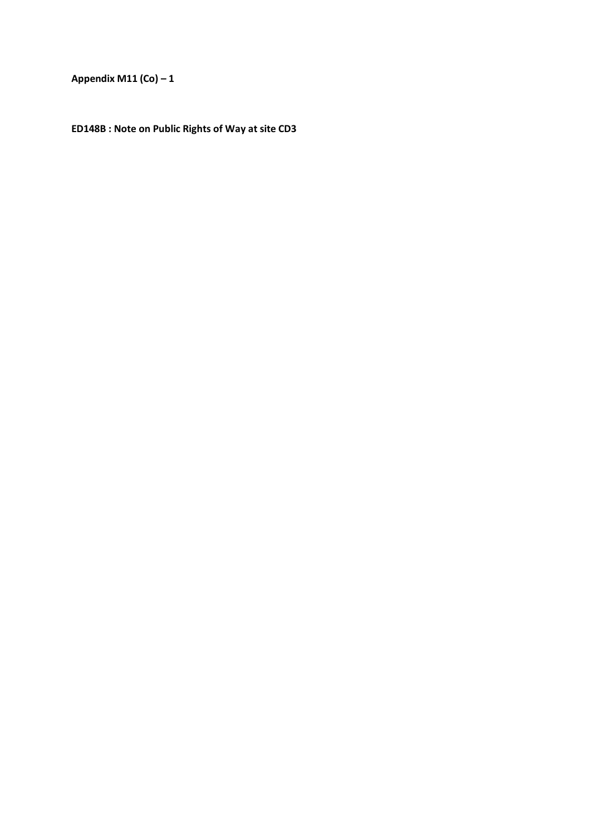**Appendix M11 (Co) – 1** 

**ED148B : Note on Public Rights of Way at site CD3**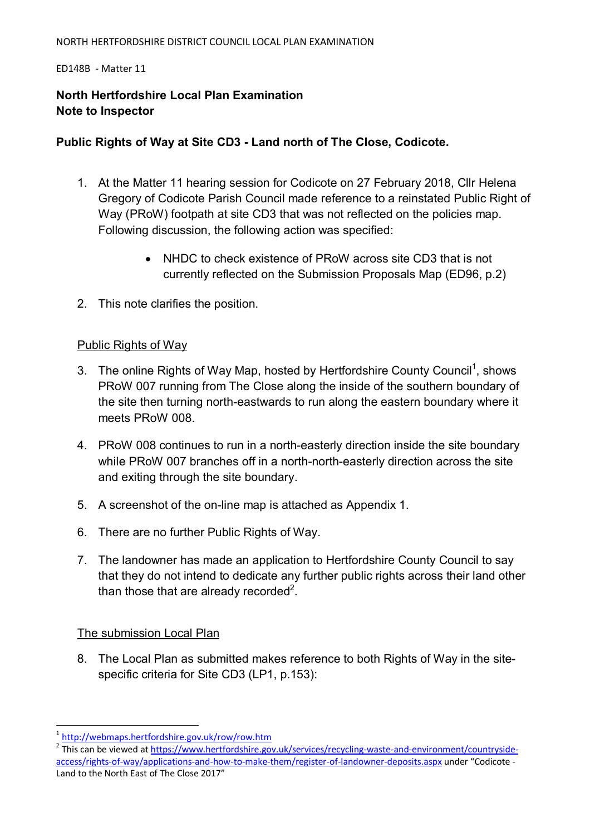#### NORTH HERTFORDSHIRE DISTRICT COUNCIL LOCAL PLAN EXAMINATION

#### ED148B - Matter 11

# **North Hertfordshire Local Plan Examination Note to Inspector**

# **Public Rights of Way at Site CD3 - Land north of The Close, Codicote.**

- 1. At the Matter 11 hearing session for Codicote on 27 February 2018, Cllr Helena Gregory of Codicote Parish Council made reference to a reinstated Public Right of Way (PRoW) footpath at site CD3 that was not reflected on the policies map. Following discussion, the following action was specified:
	- NHDC to check existence of PRoW across site CD3 that is not currently reflected on the Submission Proposals Map (ED96, p.2)
- 2. This note clarifies the position.

## Public Rights of Way

- 3. The online Rights of Way Map, hosted by Hertfordshire County Council<sup>1</sup>, shows PRoW 007 running from The Close along the inside of the southern boundary of the site then turning north-eastwards to run along the eastern boundary where it meets PRoW 008.
- 4. PRoW 008 continues to run in a north-easterly direction inside the site boundary while PRoW 007 branches off in a north-north-easterly direction across the site and exiting through the site boundary.
- 5. A screenshot of the on-line map is attached as Appendix 1.
- 6. There are no further Public Rights of Way.
- 7. The landowner has made an application to Hertfordshire County Council to say that they do not intend to dedicate any further public rights across their land other than those that are already recorded<sup>2</sup>.

## The submission Local Plan

8. The Local Plan as submitted makes reference to both Rights of Way in the sitespecific criteria for Site CD3 (LP1, p.153):

 $\overline{a}$ 

<sup>&</sup>lt;sup>1</sup> http://webmaps.hertfordshire.gov.uk/row/row.htm

<sup>2</sup> This can be viewed at https://www.hertfordshire.gov.uk/services/recycling-waste-and-environment/countrysideaccess/rights-of-way/applications-and-how-to-make-them/register-of-landowner-deposits.aspx under "Codicote - Land to the North East of The Close 2017"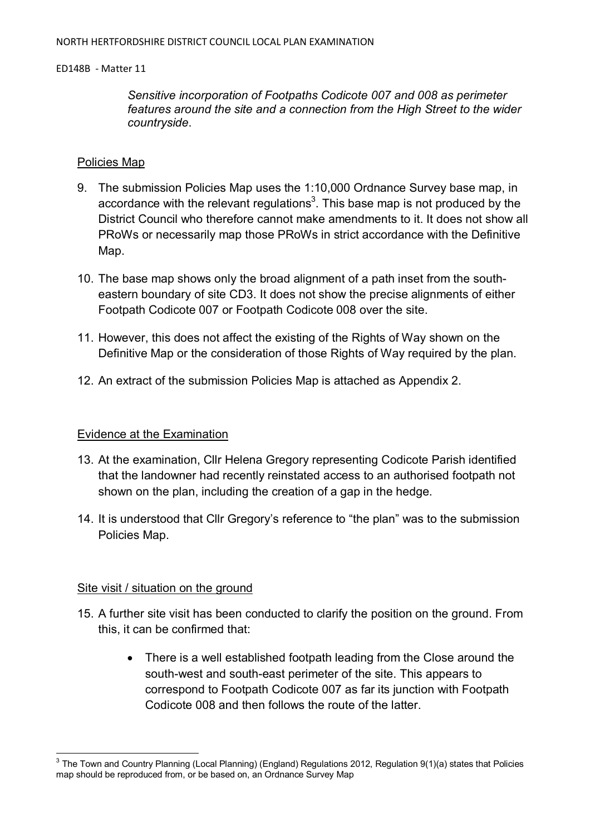*Sensitive incorporation of Footpaths Codicote 007 and 008 as perimeter features around the site and a connection from the High Street to the wider countryside*.

### Policies Map

- 9. The submission Policies Map uses the 1:10,000 Ordnance Survey base map, in accordance with the relevant regulations<sup>3</sup>. This base map is not produced by the District Council who therefore cannot make amendments to it. It does not show all PRoWs or necessarily map those PRoWs in strict accordance with the Definitive Map.
- 10. The base map shows only the broad alignment of a path inset from the southeastern boundary of site CD3. It does not show the precise alignments of either Footpath Codicote 007 or Footpath Codicote 008 over the site.
- 11. However, this does not affect the existing of the Rights of Way shown on the Definitive Map or the consideration of those Rights of Way required by the plan.
- 12. An extract of the submission Policies Map is attached as Appendix 2.

## Evidence at the Examination

- 13. At the examination, Cllr Helena Gregory representing Codicote Parish identified that the landowner had recently reinstated access to an authorised footpath not shown on the plan, including the creation of a gap in the hedge.
- 14. It is understood that Cllr Gregory's reference to "the plan" was to the submission Policies Map.

## Site visit / situation on the ground

- 15. A further site visit has been conducted to clarify the position on the ground. From this, it can be confirmed that:
	- There is a well established footpath leading from the Close around the south-west and south-east perimeter of the site. This appears to correspond to Footpath Codicote 007 as far its junction with Footpath Codicote 008 and then follows the route of the latter.

 3 The Town and Country Planning (Local Planning) (England) Regulations 2012, Regulation 9(1)(a) states that Policies map should be reproduced from, or be based on, an Ordnance Survey Map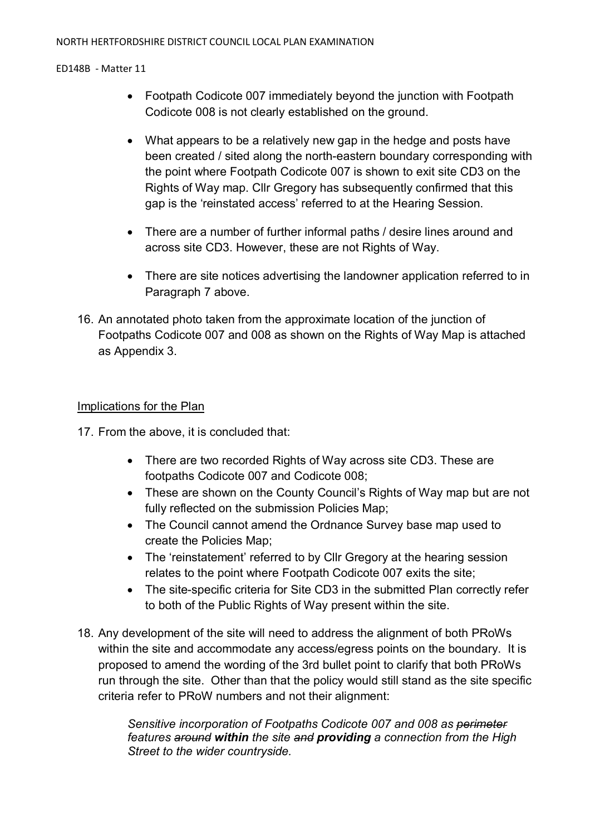- Footpath Codicote 007 immediately beyond the junction with Footpath Codicote 008 is not clearly established on the ground.
- What appears to be a relatively new gap in the hedge and posts have been created / sited along the north-eastern boundary corresponding with the point where Footpath Codicote 007 is shown to exit site CD3 on the Rights of Way map. Cllr Gregory has subsequently confirmed that this gap is the 'reinstated access' referred to at the Hearing Session.
- There are a number of further informal paths / desire lines around and across site CD3. However, these are not Rights of Way.
- There are site notices advertising the landowner application referred to in Paragraph 7 above.
- 16. An annotated photo taken from the approximate location of the junction of Footpaths Codicote 007 and 008 as shown on the Rights of Way Map is attached as Appendix 3.

# Implications for the Plan

17. From the above, it is concluded that:

- There are two recorded Rights of Way across site CD3. These are footpaths Codicote 007 and Codicote 008;
- These are shown on the County Council's Rights of Way map but are not fully reflected on the submission Policies Map;
- The Council cannot amend the Ordnance Survey base map used to create the Policies Map;
- The 'reinstatement' referred to by Cllr Gregory at the hearing session relates to the point where Footpath Codicote 007 exits the site;
- The site-specific criteria for Site CD3 in the submitted Plan correctly refer to both of the Public Rights of Way present within the site.
- 18. Any development of the site will need to address the alignment of both PRoWs within the site and accommodate any access/egress points on the boundary. It is proposed to amend the wording of the 3rd bullet point to clarify that both PRoWs run through the site. Other than that the policy would still stand as the site specific criteria refer to PRoW numbers and not their alignment:

*Sensitive incorporation of Footpaths Codicote 007 and 008 as perimeter features around within the site and providing a connection from the High Street to the wider countryside.*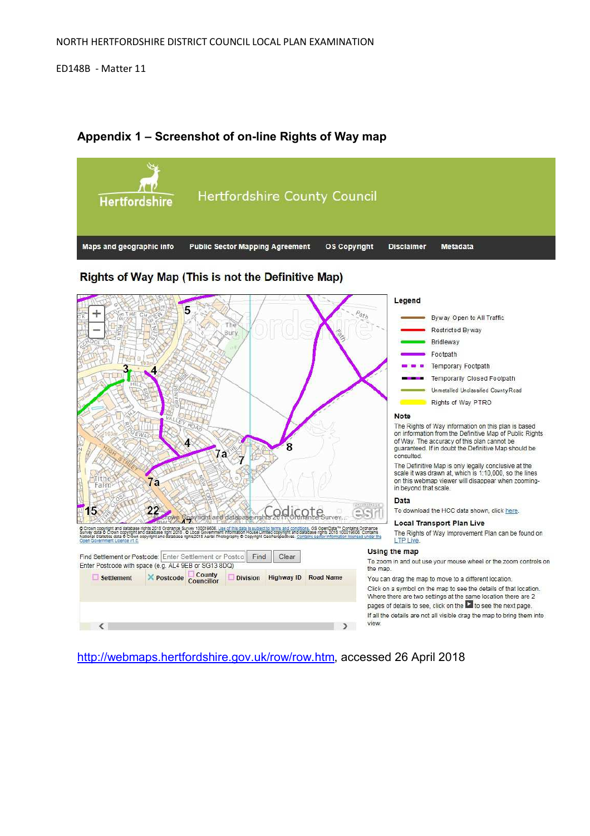

# **Appendix 1 – Screenshot of on-line Rights of Way map**

http://webmaps.hertfordshire.gov.uk/row/row.htm, accessed 26 April 2018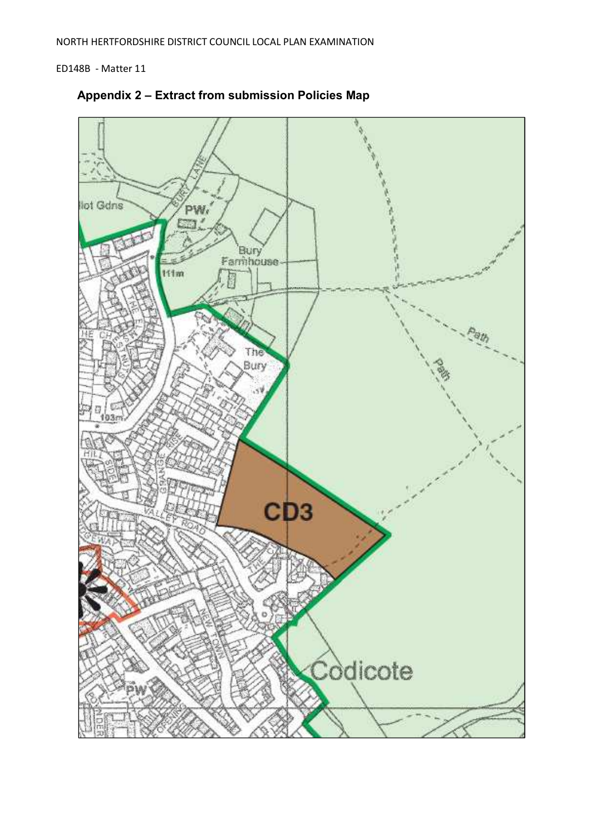

**Appendix 2 – Extract from submission Policies Map**